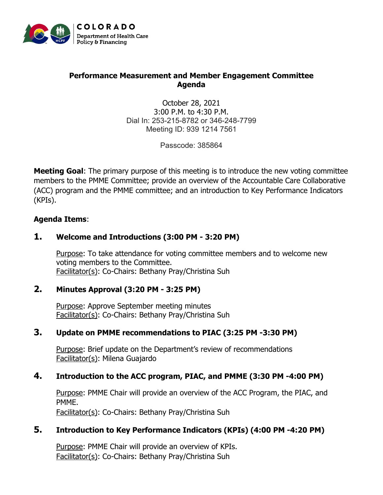

#### **Performance Measurement and Member Engagement Committee Agenda**

October 28, 2021 3:00 P.M. to 4:30 P.M. Dial In: 253-215-8782 or 346-248-7799 Meeting ID: 939 1214 7561

Passcode: 385864

**Meeting Goal**: The primary purpose of this meeting is to introduce the new voting committee members to the PMME Committee; provide an overview of the Accountable Care Collaborative (ACC) program and the PMME committee; and an introduction to Key Performance Indicators (KPIs).

#### **Agenda Items**:

## **1. Welcome and Introductions (3:00 PM - 3:20 PM)**

Purpose: To take attendance for voting committee members and to welcome new voting members to the Committee. Facilitator(s): Co-Chairs: Bethany Pray/Christina Suh

#### **2. Minutes Approval (3:20 PM - 3:25 PM)**

Purpose: Approve September meeting minutes Facilitator(s): Co-Chairs: Bethany Pray/Christina Suh

## **3. Update on PMME recommendations to PIAC (3:25 PM -3:30 PM)**

Purpose: Brief update on the Department's review of recommendations Facilitator(s): Milena Guajardo

## **4. Introduction to the ACC program, PIAC, and PMME (3:30 PM -4:00 PM)**

Purpose: PMME Chair will provide an overview of the ACC Program, the PIAC, and PMME. Facilitator(s): Co-Chairs: Bethany Pray/Christina Suh

## **5. Introduction to Key Performance Indicators (KPIs) (4:00 PM -4:20 PM)**

Purpose: PMME Chair will provide an overview of KPIs. Facilitator(s): Co-Chairs: Bethany Pray/Christina Suh